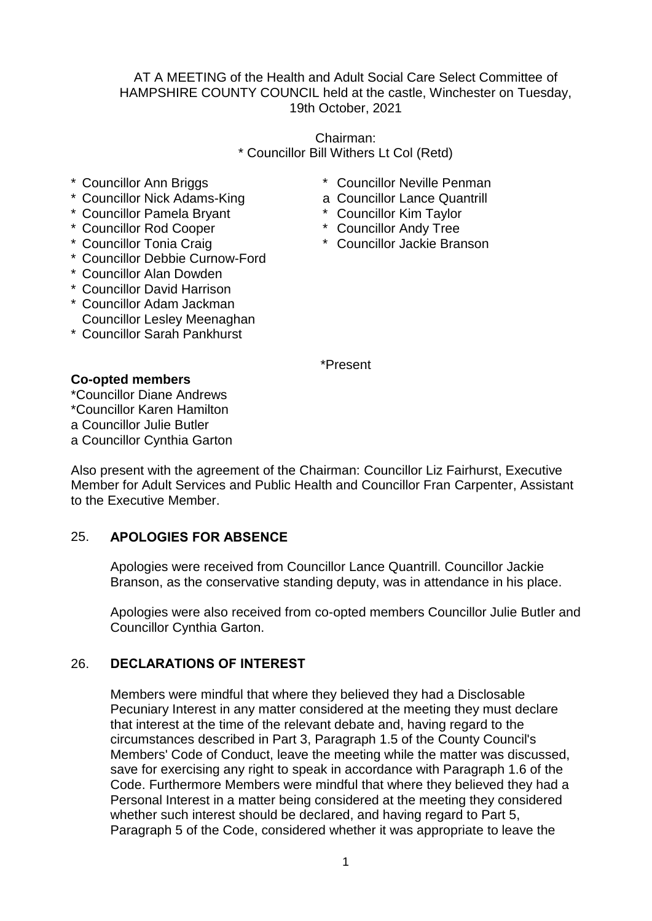### AT A MEETING of the Health and Adult Social Care Select Committee of HAMPSHIRE COUNTY COUNCIL held at the castle, Winchester on Tuesday, 19th October, 2021

Chairman: \* Councillor Bill Withers Lt Col (Retd)

- \* Councillor Ann Briggs
- \* Councillor Nick Adams-King
- \* Councillor Pamela Bryant
- \* Councillor Rod Cooper
- \* Councillor Tonia Craig
- \* Councillor Debbie Curnow-Ford
- \* Councillor Alan Dowden
- \* Councillor David Harrison
- \* Councillor Adam Jackman Councillor Lesley Meenaghan
- \* Councillor Sarah Pankhurst

\* Councillor Neville Penman

- a Councillor Lance Quantrill
- \* Councillor Kim Taylor
- \* Councillor Andy Tree
- \* Councillor Jackie Branson

\*Present

### **Co-opted members**

\*Councillor Diane Andrews \*Councillor Karen Hamilton a Councillor Julie Butler a Councillor Cynthia Garton

Also present with the agreement of the Chairman: Councillor Liz Fairhurst, Executive Member for Adult Services and Public Health and Councillor Fran Carpenter, Assistant to the Executive Member.

# 25. **APOLOGIES FOR ABSENCE**

Apologies were received from Councillor Lance Quantrill. Councillor Jackie Branson, as the conservative standing deputy, was in attendance in his place.

Apologies were also received from co-opted members Councillor Julie Butler and Councillor Cynthia Garton.

### 26. **DECLARATIONS OF INTEREST**

Members were mindful that where they believed they had a Disclosable Pecuniary Interest in any matter considered at the meeting they must declare that interest at the time of the relevant debate and, having regard to the circumstances described in Part 3, Paragraph 1.5 of the County Council's Members' Code of Conduct, leave the meeting while the matter was discussed, save for exercising any right to speak in accordance with Paragraph 1.6 of the Code. Furthermore Members were mindful that where they believed they had a Personal Interest in a matter being considered at the meeting they considered whether such interest should be declared, and having regard to Part 5, Paragraph 5 of the Code, considered whether it was appropriate to leave the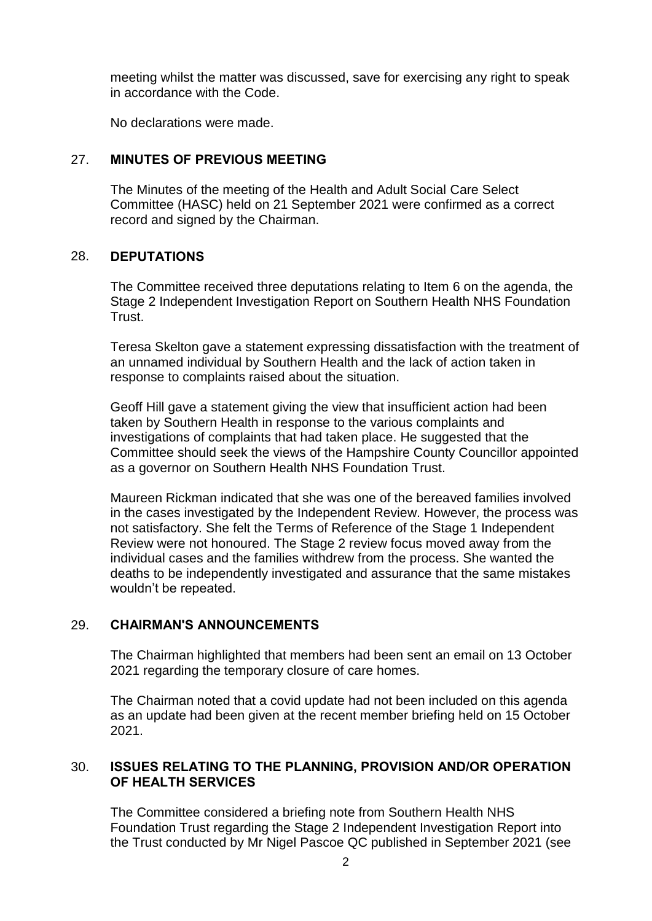meeting whilst the matter was discussed, save for exercising any right to speak in accordance with the Code.

No declarations were made.

## 27. **MINUTES OF PREVIOUS MEETING**

The Minutes of the meeting of the Health and Adult Social Care Select Committee (HASC) held on 21 September 2021 were confirmed as a correct record and signed by the Chairman.

### 28. **DEPUTATIONS**

The Committee received three deputations relating to Item 6 on the agenda, the Stage 2 Independent Investigation Report on Southern Health NHS Foundation Trust.

Teresa Skelton gave a statement expressing dissatisfaction with the treatment of an unnamed individual by Southern Health and the lack of action taken in response to complaints raised about the situation.

Geoff Hill gave a statement giving the view that insufficient action had been taken by Southern Health in response to the various complaints and investigations of complaints that had taken place. He suggested that the Committee should seek the views of the Hampshire County Councillor appointed as a governor on Southern Health NHS Foundation Trust.

Maureen Rickman indicated that she was one of the bereaved families involved in the cases investigated by the Independent Review. However, the process was not satisfactory. She felt the Terms of Reference of the Stage 1 Independent Review were not honoured. The Stage 2 review focus moved away from the individual cases and the families withdrew from the process. She wanted the deaths to be independently investigated and assurance that the same mistakes wouldn't be repeated.

### 29. **CHAIRMAN'S ANNOUNCEMENTS**

The Chairman highlighted that members had been sent an email on 13 October 2021 regarding the temporary closure of care homes.

The Chairman noted that a covid update had not been included on this agenda as an update had been given at the recent member briefing held on 15 October 2021.

### 30. **ISSUES RELATING TO THE PLANNING, PROVISION AND/OR OPERATION OF HEALTH SERVICES**

The Committee considered a briefing note from Southern Health NHS Foundation Trust regarding the Stage 2 Independent Investigation Report into the Trust conducted by Mr Nigel Pascoe QC published in September 2021 (see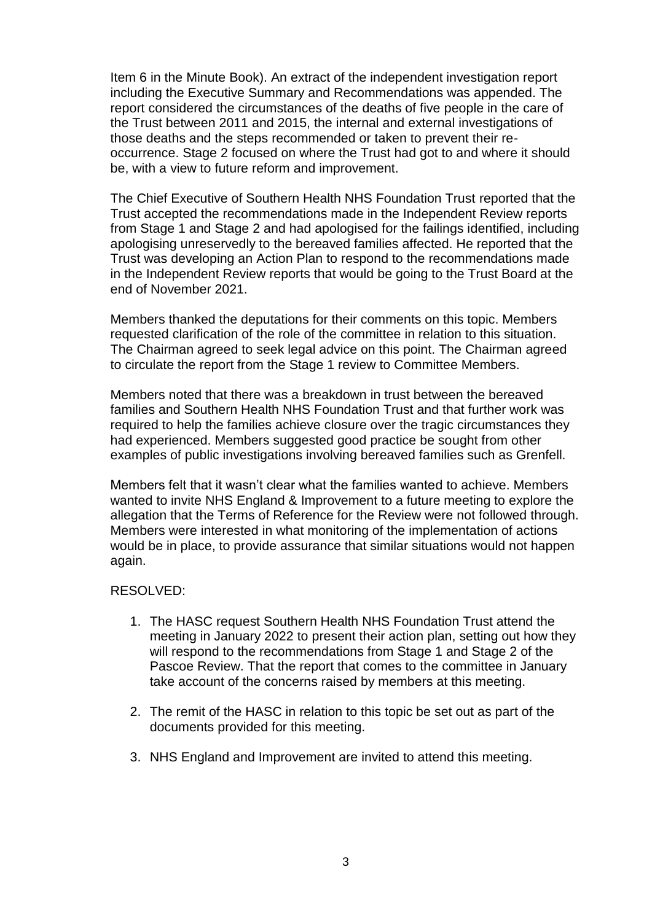Item 6 in the Minute Book). An extract of the independent investigation report including the Executive Summary and Recommendations was appended. The report considered the circumstances of the deaths of five people in the care of the Trust between 2011 and 2015, the internal and external investigations of those deaths and the steps recommended or taken to prevent their reoccurrence. Stage 2 focused on where the Trust had got to and where it should be, with a view to future reform and improvement.

The Chief Executive of Southern Health NHS Foundation Trust reported that the Trust accepted the recommendations made in the Independent Review reports from Stage 1 and Stage 2 and had apologised for the failings identified, including apologising unreservedly to the bereaved families affected. He reported that the Trust was developing an Action Plan to respond to the recommendations made in the Independent Review reports that would be going to the Trust Board at the end of November 2021.

Members thanked the deputations for their comments on this topic. Members requested clarification of the role of the committee in relation to this situation. The Chairman agreed to seek legal advice on this point. The Chairman agreed to circulate the report from the Stage 1 review to Committee Members.

Members noted that there was a breakdown in trust between the bereaved families and Southern Health NHS Foundation Trust and that further work was required to help the families achieve closure over the tragic circumstances they had experienced. Members suggested good practice be sought from other examples of public investigations involving bereaved families such as Grenfell.

Members felt that it wasn't clear what the families wanted to achieve. Members wanted to invite NHS England & Improvement to a future meeting to explore the allegation that the Terms of Reference for the Review were not followed through. Members were interested in what monitoring of the implementation of actions would be in place, to provide assurance that similar situations would not happen again.

#### RESOLVED:

- 1. The HASC request Southern Health NHS Foundation Trust attend the meeting in January 2022 to present their action plan, setting out how they will respond to the recommendations from Stage 1 and Stage 2 of the Pascoe Review. That the report that comes to the committee in January take account of the concerns raised by members at this meeting.
- 2. The remit of the HASC in relation to this topic be set out as part of the documents provided for this meeting.
- 3. NHS England and Improvement are invited to attend this meeting.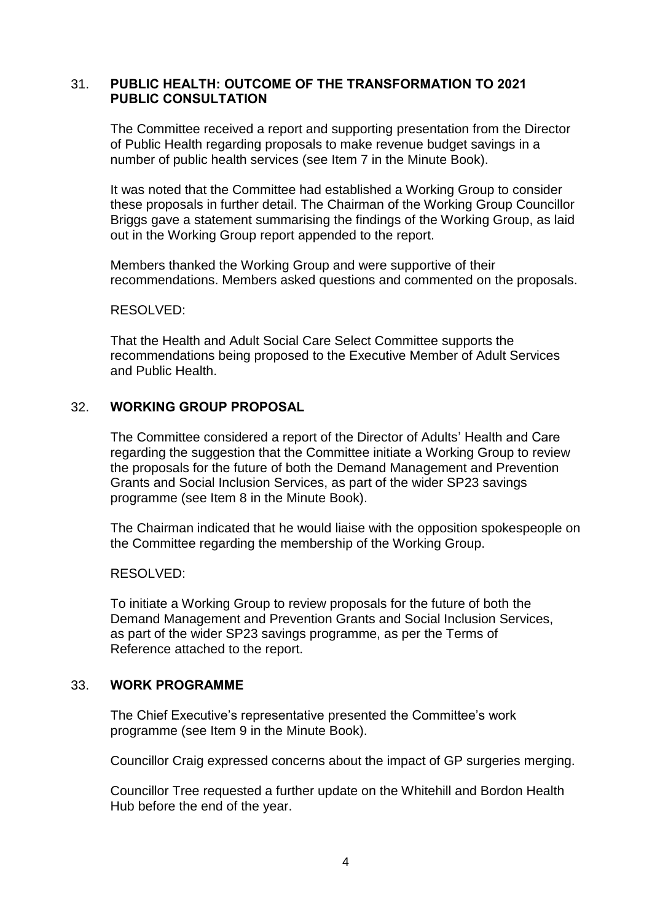### 31. **PUBLIC HEALTH: OUTCOME OF THE TRANSFORMATION TO 2021 PUBLIC CONSULTATION**

The Committee received a report and supporting presentation from the Director of Public Health regarding proposals to make revenue budget savings in a number of public health services (see Item 7 in the Minute Book).

It was noted that the Committee had established a Working Group to consider these proposals in further detail. The Chairman of the Working Group Councillor Briggs gave a statement summarising the findings of the Working Group, as laid out in the Working Group report appended to the report.

Members thanked the Working Group and were supportive of their recommendations. Members asked questions and commented on the proposals.

#### RESOLVED:

That the Health and Adult Social Care Select Committee supports the recommendations being proposed to the Executive Member of Adult Services and Public Health.

### 32. **WORKING GROUP PROPOSAL**

The Committee considered a report of the Director of Adults' Health and Care regarding the suggestion that the Committee initiate a Working Group to review the proposals for the future of both the Demand Management and Prevention Grants and Social Inclusion Services, as part of the wider SP23 savings programme (see Item 8 in the Minute Book).

The Chairman indicated that he would liaise with the opposition spokespeople on the Committee regarding the membership of the Working Group.

#### RESOLVED:

To initiate a Working Group to review proposals for the future of both the Demand Management and Prevention Grants and Social Inclusion Services, as part of the wider SP23 savings programme, as per the Terms of Reference attached to the report.

#### 33. **WORK PROGRAMME**

The Chief Executive's representative presented the Committee's work programme (see Item 9 in the Minute Book).

Councillor Craig expressed concerns about the impact of GP surgeries merging.

Councillor Tree requested a further update on the Whitehill and Bordon Health Hub before the end of the year.